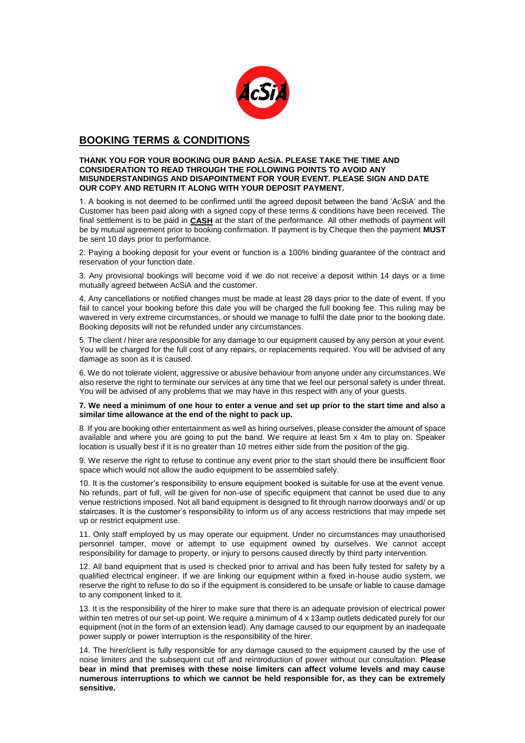

# **BOOKING TERMS & CONDITIONS**

#### **THANK YOU FOR YOUR BOOKING OUR BAND AcSiA. PLEASE TAKE THE TIME AND CONSIDERATION TO READ THROUGH THE FOLLOWING POINTS TO AVOID ANY MISUNDERSTANDINGS AND DISAPOINTMENT FOR YOUR EVENT. PLEASE SIGN AND DATE OUR COPY AND RETURN IT ALONG WITH YOUR DEPOSIT PAYMENT.**

1. A booking is not deemed to be confirmed until the agreed deposit between the band 'AcSiA' and the Customer has been paid along with a signed copy of these terms & conditions have been received. The final settlement is to be paid in **CASH** at the start of the performance. All other methods of payment will be by mutual agreement prior to booking confirmation. If payment is by Cheque then the payment **MUST** be sent 10 days prior to performance.

2. Paying a booking deposit for your event or function is a 100% binding guarantee of the contract and reservation of your function date.

3. Any provisional bookings will become void if we do not receive a deposit within 14 days or a time mutually agreed between AcSiA and the customer.

4. Any cancellations or notified changes must be made at least 28 days prior to the date of event. If you fail to cancel your booking before this date you will be charged the full booking fee. This ruling may be wavered in very extreme circumstances, or should we manage to fulfil the date prior to the booking date. Booking deposits will not be refunded under any circumstances.

5. The client / hirer are responsible for any damage to our equipment caused by any person at your event. You will be charged for the full cost of any repairs, or replacements required. You will be advised of any damage as soon as it is caused.

6. We do not tolerate violent, aggressive or abusive behaviour from anyone under any circumstances. We also reserve the right to terminate our services at any time that we feel our personal safety is under threat. You will be advised of any problems that we may have in this respect with any of your guests.

#### **7. We need a minimum of one hour to enter a venue and set up prior to the start time and also a similar time allowance at the end of the night to pack up.**

8. If you are booking other entertainment as well as hiring ourselves, please consider the amount of space available and where you are going to put the band. We require at least 5m x 4m to play on. Speaker location is usually best if it is no greater than 10 metres either side from the position of the gig.

9. We reserve the right to refuse to continue any event prior to the start should there be insufficient floor space which would not allow the audio equipment to be assembled safely.

10. It is the customer's responsibility to ensure equipment booked is suitable for use at the event venue. No refunds, part of full, will be given for non-use of specific equipment that cannot be used due to any venue restrictions imposed. Not all band equipment is designed to fit through narrow doorways and/ or up staircases. It is the customer's responsibility to inform us of any access restrictions that may impede set up or restrict equipment use.

11. Only staff employed by us may operate our equipment. Under no circumstances may unauthorised personnel tamper, move or attempt to use equipment owned by ourselves. We cannot accept responsibility for damage to property, or injury to persons caused directly by third party intervention.

12. All band equipment that is used is checked prior to arrival and has been fully tested for safety by a qualified electrical engineer. If we are linking our equipment within a fixed in-house audio system, we reserve the right to refuse to do so if the equipment is considered to be unsafe or liable to cause damage to any component linked to it.

13. It is the responsibility of the hirer to make sure that there is an adequate provision of electrical power within ten metres of our set-up point. We require a minimum of 4 x 13amp outlets dedicated purely for our equipment (not in the form of an extension lead). Any damage caused to our equipment by an inadequate power supply or power interruption is the responsibility of the hirer.

14. The hirer/client is fully responsible for any damage caused to the equipment caused by the use of noise limiters and the subsequent cut off and reintroduction of power without our consultation. **Please bear in mind that premises with these noise limiters can affect volume levels and may cause numerous interruptions to which we cannot be held responsible for, as they can be extremely sensitive.**